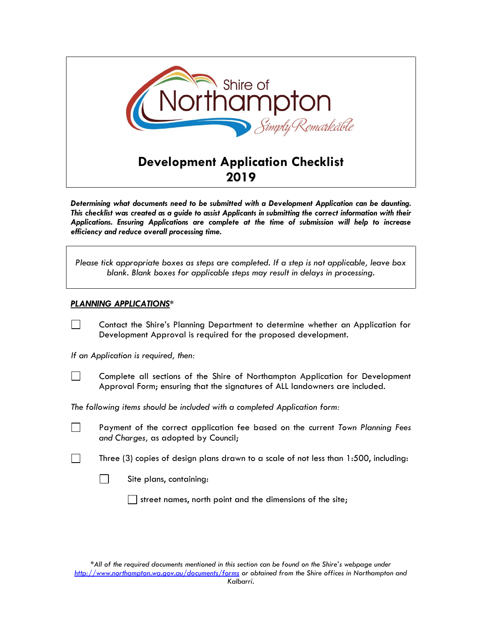

*Determining what documents need to be submitted with a Development Application can be daunting. This checklist was created as a guide to assist Applicants in submitting the correct information with their Applications. Ensuring Applications are complete at the time of submission will help to increase efficiency and reduce overall processing time.* 

| Please tick appropriate boxes as steps are completed. If a step is not applicable, leave box |  |
|----------------------------------------------------------------------------------------------|--|
| blank. Blank boxes for applicable steps may result in delays in processing.                  |  |

## *PLANNING APPLICATIONS\**

| $\Box$ | Contact the Shire's Planning Department to determine whether an Application for |  |  |  |  |  |
|--------|---------------------------------------------------------------------------------|--|--|--|--|--|
|        | Development Approval is required for the proposed development.                  |  |  |  |  |  |

*If an Application is required, then:* 

Complete all sections of the Shire of Northampton Application for Development Approval Form; ensuring that the signatures of ALL landowners are included.

*The following items should be included with a completed Application form:* 

 $\Box$ 

 $\Box$ 

 $\Box$ 

Payment of the correct application fee based on the current *Town Planning Fees and Charges,* as adopted by Council;

Three (3) copies of design plans drawn to a scale of not less than 1:500, including:



street names, north point and the dimensions of the site;